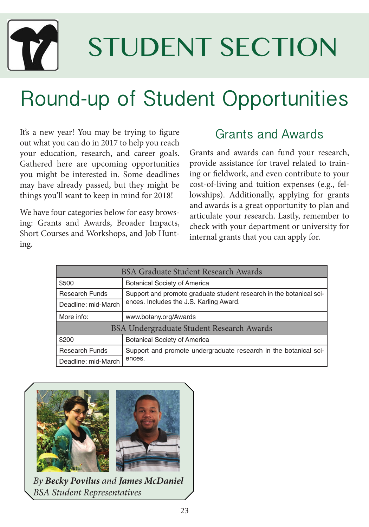

# STUDENT SECTION

## Round-up of Student Opportunities

It's a new year! You may be trying to figure out what you can do in 2017 to help you reach your education, research, and career goals. Gathered here are upcoming opportunities you might be interested in. Some deadlines may have already passed, but they might be things you'll want to keep in mind for 2018!

We have four categories below for easy browsing: Grants and Awards, Broader Impacts, Short Courses and Workshops, and Job Hunting.

#### Grants and Awards

Grants and awards can fund your research, provide assistance for travel related to training or fieldwork, and even contribute to your cost-of-living and tuition expenses (e.g., fellowships). Additionally, applying for grants and awards is a great opportunity to plan and articulate your research. Lastly, remember to check with your department or university for internal grants that you can apply for.

| <b>BSA Graduate Student Research Awards</b> |                                                                                                                |  |
|---------------------------------------------|----------------------------------------------------------------------------------------------------------------|--|
| \$500                                       | <b>Botanical Society of America</b>                                                                            |  |
| <b>Research Funds</b>                       | Support and promote graduate student research in the botanical sci-<br>ences. Includes the J.S. Karling Award. |  |
| Deadline: mid-March                         |                                                                                                                |  |
| More info:                                  | www.botany.org/Awards                                                                                          |  |
| BSA Undergraduate Student Research Awards   |                                                                                                                |  |
| \$200                                       | <b>Botanical Society of America</b>                                                                            |  |
| <b>Research Funds</b>                       | Support and promote undergraduate research in the botanical sci-<br>ences.                                     |  |
| Deadline: mid-March                         |                                                                                                                |  |



*By Becky Povilus and James McDaniel BSA Student Representatives*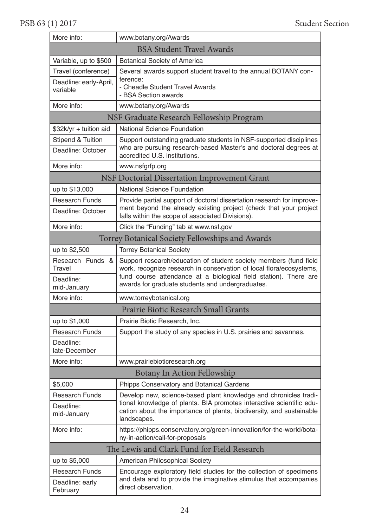#### PSB 63 (1) 2017 Student Section

| More info:                                  | www.botany.org/Awards                                                                                                                                           |  |
|---------------------------------------------|-----------------------------------------------------------------------------------------------------------------------------------------------------------------|--|
|                                             | <b>BSA Student Travel Awards</b>                                                                                                                                |  |
| Variable, up to \$500                       | <b>Botanical Society of America</b>                                                                                                                             |  |
| Travel (conference)                         | Several awards support student travel to the annual BOTANY con-                                                                                                 |  |
| Deadline: early-April,                      | ference:<br>- Cheadle Student Travel Awards                                                                                                                     |  |
| variable                                    | - BSA Section awards                                                                                                                                            |  |
| More info:                                  | www.botany.org/Awards                                                                                                                                           |  |
| NSF Graduate Research Fellowship Program    |                                                                                                                                                                 |  |
| \$32k/yr + tuition aid                      | <b>National Science Foundation</b>                                                                                                                              |  |
| <b>Stipend &amp; Tuition</b>                | Support outstanding graduate students in NSF-supported disciplines                                                                                              |  |
| Deadline: October                           | who are pursuing research-based Master's and doctoral degrees at<br>accredited U.S. institutions.                                                               |  |
| More info:                                  | www.nsfgrfp.org                                                                                                                                                 |  |
|                                             | <b>NSF Doctorial Dissertation Improvement Grant</b>                                                                                                             |  |
| up to \$13,000                              | <b>National Science Foundation</b>                                                                                                                              |  |
| <b>Research Funds</b>                       | Provide partial support of doctoral dissertation research for improve-                                                                                          |  |
| Deadline: October                           | ment beyond the already existing project (check that your project<br>falls within the scope of associated Divisions).                                           |  |
| More info:                                  | Click the "Funding" tab at www.nsf.gov                                                                                                                          |  |
|                                             | Torrey Botanical Society Fellowships and Awards                                                                                                                 |  |
| up to \$2,500                               | <b>Torrey Botanical Society</b>                                                                                                                                 |  |
| Research Funds &                            | Support research/education of student society members (fund field                                                                                               |  |
| Travel<br>Deadline:                         | work, recognize research in conservation of local flora/ecosystems,<br>fund course attendance at a biological field station). There are                         |  |
| mid-January                                 | awards for graduate students and undergraduates.                                                                                                                |  |
| More info:                                  | www.torreybotanical.org                                                                                                                                         |  |
|                                             | Prairie Biotic Research Small Grants                                                                                                                            |  |
| up to \$1,000                               | Prairie Biotic Research, Inc.                                                                                                                                   |  |
| <b>Research Funds</b>                       | Support the study of any species in U.S. prairies and savannas.                                                                                                 |  |
| Deadline:                                   |                                                                                                                                                                 |  |
| late-December                               |                                                                                                                                                                 |  |
| More info:                                  | www.prairiebioticresearch.org<br>Botany In Action Fellowship                                                                                                    |  |
| \$5,000                                     |                                                                                                                                                                 |  |
| <b>Research Funds</b>                       | Phipps Conservatory and Botanical Gardens<br>Develop new, science-based plant knowledge and chronicles tradi-                                                   |  |
| Deadline:                                   | tional knowledge of plants. BIA promotes interactive scientific edu-                                                                                            |  |
| mid-January                                 | cation about the importance of plants, biodiversity, and sustainable<br>landscapes.                                                                             |  |
| More info:                                  | https://phipps.conservatory.org/green-innovation/for-the-world/bota-<br>ny-in-action/call-for-proposals                                                         |  |
| The Lewis and Clark Fund for Field Research |                                                                                                                                                                 |  |
| up to \$5,000                               | American Philosophical Society                                                                                                                                  |  |
| <b>Research Funds</b>                       | Encourage exploratory field studies for the collection of specimens<br>and data and to provide the imaginative stimulus that accompanies<br>direct observation. |  |
| Deadline: early                             |                                                                                                                                                                 |  |
| February                                    |                                                                                                                                                                 |  |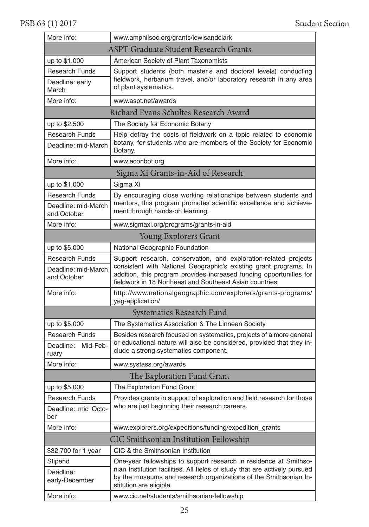| More info:                                   | www.amphilsoc.org/grants/lewisandclark                                                                                                                                                               |  |
|----------------------------------------------|------------------------------------------------------------------------------------------------------------------------------------------------------------------------------------------------------|--|
| <b>ASPT Graduate Student Research Grants</b> |                                                                                                                                                                                                      |  |
| up to \$1,000                                | American Society of Plant Taxonomists                                                                                                                                                                |  |
| <b>Research Funds</b>                        | Support students (both master's and doctoral levels) conducting<br>fieldwork, herbarium travel, and/or laboratory research in any area<br>of plant systematics.                                      |  |
| Deadline: early<br>March                     |                                                                                                                                                                                                      |  |
| More info:                                   | www.aspt.net/awards                                                                                                                                                                                  |  |
|                                              | Richard Evans Schultes Research Award                                                                                                                                                                |  |
| up to \$2,500                                | The Society for Economic Botany                                                                                                                                                                      |  |
| <b>Research Funds</b>                        | Help defray the costs of fieldwork on a topic related to economic                                                                                                                                    |  |
| Deadline: mid-March                          | botany, for students who are members of the Society for Economic<br>Botany.                                                                                                                          |  |
| More info:                                   | www.econbot.org                                                                                                                                                                                      |  |
|                                              | Sigma Xi Grants-in-Aid of Research                                                                                                                                                                   |  |
| up to \$1,000                                | Sigma Xi                                                                                                                                                                                             |  |
| <b>Research Funds</b>                        | By encouraging close working relationships between students and                                                                                                                                      |  |
| Deadline: mid-March<br>and October           | mentors, this program promotes scientific excellence and achieve-<br>ment through hands-on learning.                                                                                                 |  |
| More info:                                   | www.sigmaxi.org/programs/grants-in-aid                                                                                                                                                               |  |
|                                              | <b>Young Explorers Grant</b>                                                                                                                                                                         |  |
| up to \$5,000                                | National Geographic Foundation                                                                                                                                                                       |  |
| <b>Research Funds</b>                        | Support research, conservation, and exploration-related projects                                                                                                                                     |  |
| Deadline: mid-March<br>and October           | consistent with National Geographic's existing grant programs. In<br>addition, this program provides increased funding opportunities for<br>fieldwork in 18 Northeast and Southeast Asian countries. |  |
| More info:                                   | http://www.nationalgeographic.com/explorers/grants-programs/<br>yeg-application/                                                                                                                     |  |
|                                              | <b>Systematics Research Fund</b>                                                                                                                                                                     |  |
| up to \$5,000                                | The Systematics Association & The Linnean Society                                                                                                                                                    |  |
| <b>Research Funds</b>                        | Besides research focused on systematics, projects of a more general                                                                                                                                  |  |
| Deadline:<br>Mid-Feb-<br>ruary               | or educational nature will also be considered, provided that they in-<br>clude a strong systematics component.                                                                                       |  |
| More info:                                   | www.systass.org/awards                                                                                                                                                                               |  |
|                                              | The Exploration Fund Grant                                                                                                                                                                           |  |
| up to \$5,000                                | The Exploration Fund Grant                                                                                                                                                                           |  |
| <b>Research Funds</b>                        | Provides grants in support of exploration and field research for those                                                                                                                               |  |
| Deadline: mid Octo-<br>her                   | who are just beginning their research careers.                                                                                                                                                       |  |
| More info:                                   | www.explorers.org/expeditions/funding/expedition_grants                                                                                                                                              |  |
|                                              | CIC Smithsonian Institution Fellowship                                                                                                                                                               |  |
| \$32,700 for 1 year                          | CIC & the Smithsonian Institution                                                                                                                                                                    |  |
| Stipend                                      | One-year fellowships to support research in residence at Smithso-                                                                                                                                    |  |
| Deadline:<br>early-December                  | nian Institution facilities. All fields of study that are actively pursued<br>by the museums and research organizations of the Smithsonian In-<br>stitution are eligible.                            |  |
| More info:                                   | www.cic.net/students/smithsonian-fellowship                                                                                                                                                          |  |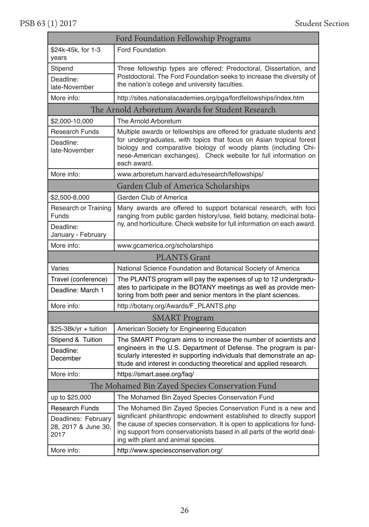PSB 63 (1) 2017 Student Section

| Ford Foundation Fellowship Programs                 |                                                                                                                                                                                                                                                                                                  |  |
|-----------------------------------------------------|--------------------------------------------------------------------------------------------------------------------------------------------------------------------------------------------------------------------------------------------------------------------------------------------------|--|
| \$24k-45k, for 1-3<br>vears                         | <b>Ford Foundation</b>                                                                                                                                                                                                                                                                           |  |
| Stipend                                             | Three fellowship types are offered: Predoctoral, Dissertation, and                                                                                                                                                                                                                               |  |
| Deadline:                                           | Postdoctoral. The Ford Foundation seeks to increase the diversity of<br>the nation's college and university faculties.                                                                                                                                                                           |  |
| late-November                                       |                                                                                                                                                                                                                                                                                                  |  |
| More info:                                          | http://sites.nationalacademies.org/pga/fordfellowships/index.htm                                                                                                                                                                                                                                 |  |
| The Arnold Arboretum Awards for Student Research    |                                                                                                                                                                                                                                                                                                  |  |
| \$2,000-10,000                                      | The Arnold Arboretum                                                                                                                                                                                                                                                                             |  |
| <b>Research Funds</b><br>Deadline:<br>late-November | Multiple awards or fellowships are offered for graduate students and<br>for undergraduates, with topics that focus on Asian tropical forest<br>biology and comparative biology of woody plants (including Chi-<br>nese-American exchanges). Check website for full information on<br>each award. |  |
| More info:                                          | www.arboretum.harvard.edu/research/fellowships/                                                                                                                                                                                                                                                  |  |
|                                                     | Garden Club of America Scholarships                                                                                                                                                                                                                                                              |  |
| \$2,500-8,000                                       | Garden Club of America                                                                                                                                                                                                                                                                           |  |
| <b>Research or Training</b><br>Funds                | Many awards are offered to support botanical research, with foci<br>ranging from public garden history/use, field botany, medicinal bota-                                                                                                                                                        |  |
| Deadline:<br>January - February                     | ny, and horticulture. Check website for full information on each award.                                                                                                                                                                                                                          |  |
| More info:                                          | www.gcamerica.org/scholarships                                                                                                                                                                                                                                                                   |  |
|                                                     | <b>PLANTS</b> Grant                                                                                                                                                                                                                                                                              |  |
| Varies                                              | National Science Foundation and Botanical Society of America                                                                                                                                                                                                                                     |  |
| Travel (conference)<br>Deadline: March 1            | The PLANTS program will pay the expenses of up to 12 undergradu-<br>ates to participate in the BOTANY meetings as well as provide men-<br>toring from both peer and senior mentors in the plant sciences.                                                                                        |  |
| More info:                                          | http://botany.org/Awards/F_PLANTS.php                                                                                                                                                                                                                                                            |  |
|                                                     | <b>SMART</b> Program                                                                                                                                                                                                                                                                             |  |
| \$25-38k/yr + tuition                               | American Society for Engineering Education                                                                                                                                                                                                                                                       |  |
| Stipend & Tuition                                   | The SMART Program aims to increase the number of scientists and                                                                                                                                                                                                                                  |  |
| Deadline:<br>December                               | engineers in the U.S. Department of Defense. The program is par-<br>ticularly interested in supporting individuals that demonstrate an ap-<br>titude and interest in conducting theoretical and applied research.                                                                                |  |
| More info:                                          | https://smart.asee.org/faq/                                                                                                                                                                                                                                                                      |  |
| The Mohamed Bin Zayed Species Conservation Fund     |                                                                                                                                                                                                                                                                                                  |  |
| up to \$25,000                                      | The Mohamed Bin Zayed Species Conservation Fund                                                                                                                                                                                                                                                  |  |
| <b>Research Funds</b>                               | The Mohamed Bin Zayed Species Conservation Fund is a new and                                                                                                                                                                                                                                     |  |
| Deadlines: February<br>28, 2017 & June 30,<br>2017  | significant philanthropic endowment established to directly support<br>the cause of species conservation. It is open to applications for fund-<br>ing support from conservationists based in all parts of the world deal-<br>ing with plant and animal species.                                  |  |
| More info:                                          | http://www.speciesconservation.org/                                                                                                                                                                                                                                                              |  |